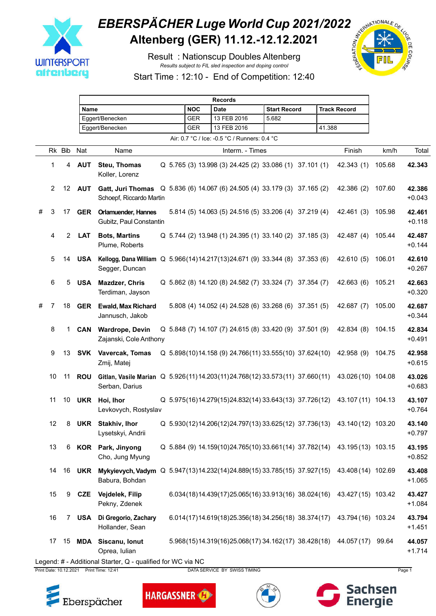

## **EBERSPÄCHER Luge World Cup 2021/2022**<br>Altenberg (GER) 11.12.-12.12.2021 **Altenberg (GER) 11.12.-12.12.2021**

Result : Nationscup Doubles Altenberg *Results subject to FIL sled inspection and doping control*



Start Time : 12:10 - End of Competition: 12:40

|   |                 |                |               | <b>Records</b>                                                                                                     |            |             |                           |             |                                              |                     |                                                         |                     |                                                                           |        |                    |
|---|-----------------|----------------|---------------|--------------------------------------------------------------------------------------------------------------------|------------|-------------|---------------------------|-------------|----------------------------------------------|---------------------|---------------------------------------------------------|---------------------|---------------------------------------------------------------------------|--------|--------------------|
|   |                 |                |               | Name                                                                                                               |            |             | <b>NOC</b><br><b>Date</b> |             |                                              | <b>Start Record</b> |                                                         | <b>Track Record</b> |                                                                           |        |                    |
|   |                 |                |               | Eggert/Benecken                                                                                                    |            |             | <b>GER</b>                | 13 FEB 2016 |                                              | 5.682               |                                                         |                     |                                                                           |        |                    |
|   | Eggert/Benecken |                |               |                                                                                                                    | <b>GER</b> | 13 FEB 2016 |                           |             |                                              | 41.388              |                                                         |                     |                                                                           |        |                    |
|   |                 |                |               |                                                                                                                    |            |             |                           |             | Air: 0.7 °C / Ice: -0.5 °C / Runners: 0.4 °C |                     |                                                         |                     |                                                                           |        |                    |
|   |                 | Rk Bib         | Nat           | Name                                                                                                               |            |             |                           |             | Interm. - Times                              |                     |                                                         |                     | Finish                                                                    | km/h   | Total              |
|   | 1               | 4              | <b>AUT</b>    | Steu, Thomas<br>Koller, Lorenz                                                                                     |            |             |                           |             |                                              |                     | Q 5.765 (3) 13.998 (3) 24.425 (2) 33.086 (1) 37.101 (1) |                     | 42.343(1)                                                                 | 105.68 | 42.343             |
|   | 2               |                | 12 <b>AUT</b> | Gatt, Juri Thomas Q 5.836 (6) 14.067 (6) 24.505 (4) 33.179 (3) 37.165 (2)<br>Schoepf, Riccardo Martin              |            |             |                           |             |                                              |                     |                                                         |                     | 42.386 (2)                                                                | 107.60 | 42.386<br>$+0.043$ |
| # | 3               | 17             |               | <b>GER</b> Orlamuender, Hannes<br>Gubitz, Paul Constantin                                                          |            |             |                           |             |                                              |                     | 5.814 (5) 14.063 (5) 24.516 (5) 33.206 (4) 37.219 (4)   |                     | 42.461 (3)                                                                | 105.98 | 42.461<br>$+0.118$ |
|   | 4               | $\overline{2}$ | <b>LAT</b>    | <b>Bots, Martins</b><br>Plume, Roberts                                                                             |            |             |                           |             |                                              |                     | Q 5.744 (2) 13.948 (1) 24.395 (1) 33.140 (2) 37.185 (3) |                     | 42.487 (4)                                                                | 105.44 | 42.487<br>$+0.144$ |
|   | 5               | 14             | USA           | Kellogg, Dana William Q 5.966(14)14.217(13)24.671 (9) 33.344 (8) 37.353 (6)<br>Segger, Duncan                      |            |             |                           |             |                                              |                     |                                                         |                     | 42.610 (5)                                                                | 106.01 | 42.610<br>$+0.267$ |
|   | 6               | 5              | <b>USA</b>    | <b>Mazdzer, Chris</b><br>Terdiman, Jayson                                                                          |            |             |                           |             |                                              |                     | Q 5.862 (8) 14.120 (8) 24.582 (7) 33.324 (7) 37.354 (7) |                     | 42.663 (6)                                                                | 105.21 | 42.663<br>$+0.320$ |
| # | 7               | 18             | <b>GER</b>    | <b>Ewald, Max Richard</b><br>Jannusch, Jakob                                                                       |            |             |                           |             |                                              |                     | 5.808 (4) 14.052 (4) 24.528 (6) 33.268 (6) 37.351 (5)   |                     | 42.687(7)                                                                 | 105.00 | 42.687<br>$+0.344$ |
|   | 8               | 1.             | CAN           | <b>Wardrope, Devin</b><br>Zajanski, Cole Anthony                                                                   |            |             |                           |             |                                              |                     | Q 5.848 (7) 14.107 (7) 24.615 (8) 33.420 (9) 37.501 (9) |                     | 42.834 (8)                                                                | 104.15 | 42.834<br>$+0.491$ |
|   | 9               | 13             |               | <b>SVK</b> Vavercak, Tomas<br>Zmij, Matej                                                                          |            |             |                           |             |                                              |                     | Q 5.898(10)14.158 (9) 24.766(11) 33.555(10) 37.624(10)  |                     | 42.958 (9)                                                                | 104.75 | 42.958<br>$+0.615$ |
|   | 10              | 11             | <b>ROU</b>    | Gitlan, Vasile Marian Q 5.926(11)14.203(11)24.768(12)33.573(11) 37.660(11)<br>Serban, Darius                       |            |             |                           |             |                                              |                     |                                                         |                     | 43.026 (10) 104.08                                                        |        | 43.026<br>$+0.683$ |
|   | 11              | 10             | <b>UKR</b>    | Hoi, Ihor<br>Levkovych, Rostyslav                                                                                  |            |             |                           |             |                                              |                     | Q 5.975(16)14.279(15)24.832(14) 33.643(13) 37.726(12)   |                     | 43.107 (11) 104.13                                                        |        | 43.107<br>$+0.764$ |
|   | 12              | 8              |               | <b>UKR</b> Stakhiv, Ihor<br>Lysetskyi, Andrii                                                                      |            |             |                           |             |                                              |                     |                                                         |                     | Q 5.930(12)14.206(12)24.797(13)33.625(12) 37.736(13) 43.140(12) 103.20    |        | 43.140<br>$+0.797$ |
|   | 13              | 6              |               | <b>KOR</b> Park, Jinyong<br>Cho, Jung Myung                                                                        |            |             |                           |             |                                              |                     |                                                         |                     | Q 5.884 (9) 14.159(10)24.765(10) 33.661(14) 37.782(14) 43.195 (13) 103.15 |        | 43.195<br>$+0.852$ |
|   | 14              |                |               | 16 UKR Mykyievych, Vadym Q 5.947(13)14.232(14)24.889(15) 33.785(15) 37.927(15) 43.408(14) 102.69<br>Babura, Bohdan |            |             |                           |             |                                              |                     |                                                         |                     |                                                                           |        | 43.408<br>$+1.065$ |
|   | 15              | 9              |               | CZE Vejdelek, Filip<br>Pekny, Zdenek                                                                               |            |             |                           |             |                                              |                     | 6.034(18)14.439(17)25.065(16) 33.913(16) 38.024(16)     |                     | 43.427 (15) 103.42                                                        |        | 43.427<br>$+1.084$ |
|   | 16              |                | 7 USA         | Di Gregorio, Zachary<br>Hollander, Sean                                                                            |            |             |                           |             |                                              |                     | 6.014(17)14.619(18)25.356(18)34.256(18)38.374(17)       |                     | 43.794 (16) 103.24                                                        |        | 43.794<br>$+1.451$ |
|   | 17              |                |               | 15 MDA Siscanu, Ionut<br>Oprea, Iulian                                                                             |            |             |                           |             |                                              |                     |                                                         |                     | 5.968(15)14.319(16)25.068(17)34.162(17)38.428(18) 44.057(17) 99.64        |        | 44.057<br>$+1.714$ |
|   |                 |                |               | Legend: # - Additional Starter, Q - qualified for WC via NC                                                        |            |             |                           |             |                                              |                     |                                                         |                     |                                                                           |        |                    |

Print Date: 10.12.2021 Print Time: 12:41 DATA SERVICE BY SWISS TIMING Page 1